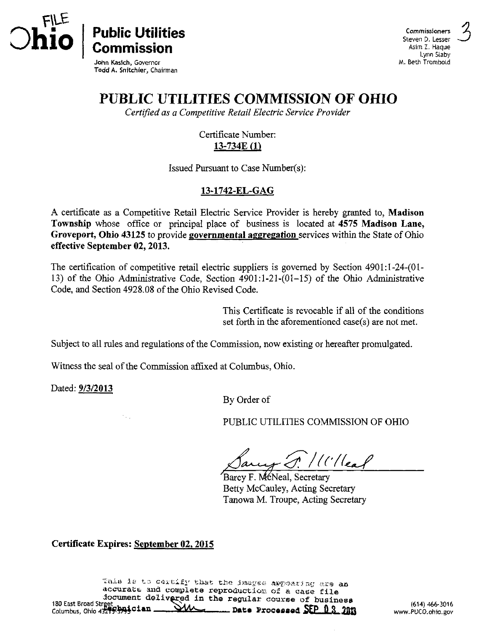

 $\text{Commission}^{\text{Aster} \cup \text{L}_\text{L}_\text{Rauge}}$ M. Beth Trombold

John Kasich, Governor Todd A. Snitchler, Chairman

# PUBLIC UTILITIES COMMISSION OF OHIO

Certified as a Competitive Retail Electric Service Provider

Certificate Number: 13-734E (1)

Issued Pursuant to Case Number(s):

### 13-1742-EL-GAG

A certificate as a Competitive Retail Electric Service Provider is hereby granted to, Madison Township whose office or principal place of business is located at 4575 Madison Lane, Groveport, Ohio 43125 to provide governmental aggregation services within the State of Ohio effective September 02,2013.

The certification of competitive retail electric suppliers is governed by Section 4901:l-24-(01- 13) of the Ohio Administrative Code, Section 4901:1-21-(01-15) of the Ohio Administrative Code, and Section 4928.08 of the Ohio Revised Code.

> This Certificate is revocable if all of the conditions set forth in the aforementioned case(s) are not met.

Subject to all rules and regulations of the Commission, now existing or hereafter promulgated.

Witness the seal of the Commission affixed at Columbus, Ohio.

Dated: 9/3/2013

By Order of

PUBLIC UTILITIES COMMISSION OF OHIO

 $/$ (' $/$ leaf

Barcy F. McNeal, Secretary Betty McCauley, Acting Secretary Tanowa M. Troupe, Acting Secretary

Certificate Expires: September 02,2015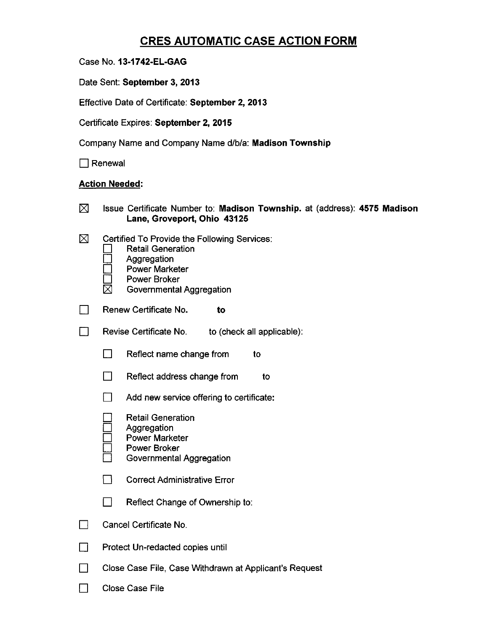## CRES AUTOMATIC CASE ACTION FORM

Case No. 13-1742-EL-GAG

Date Sent: September 3, 2013

Effective Date of Certificate: September 2, 2013

Certificate Expires: September 2, 2015

Company Name and Company Name d/b/a: Madison Township

 $\Box$  Renewal

#### Action Needed:

| 冈 | Issue Certificate Number to: Madison Township. at (address): 4575 Madison<br>Lane, Groveport, Ohio 43125                                                            |
|---|---------------------------------------------------------------------------------------------------------------------------------------------------------------------|
| ⊠ | Certified To Provide the Following Services:<br><b>Retail Generation</b><br>Aggregation<br><b>Power Marketer</b><br><b>Power Broker</b><br>Governmental Aggregation |
|   | Renew Certificate No.<br>to                                                                                                                                         |
|   | Revise Certificate No.<br>to (check all applicable):                                                                                                                |
|   | Reflect name change from<br>to                                                                                                                                      |
|   | Reflect address change from<br>ΙI<br>to                                                                                                                             |
|   | Add new service offering to certificate:                                                                                                                            |
|   | <b>Retail Generation</b><br>Aggregation<br><b>Power Marketer</b><br>Power Broker<br>Governmental Aggregation                                                        |
|   | <b>Correct Administrative Error</b>                                                                                                                                 |
|   | Reflect Change of Ownership to:                                                                                                                                     |
|   | Cancel Certificate No.                                                                                                                                              |
|   | Protect Un-redacted copies until                                                                                                                                    |
|   | Close Case File, Case Withdrawn at Applicant's Request                                                                                                              |

 $\Box$  Close Case File